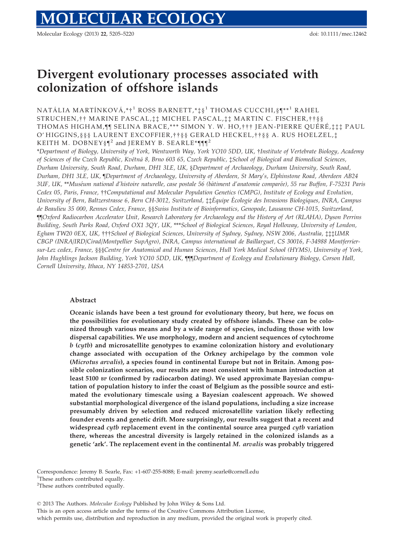Molecular Ecology (2013) 22, 5205–5220 doi: 10.1111/mec.12462

# Divergent evolutionary processes associated with colonization of offshore islands

NATÁLIA MARTÍNKOVÁ, \* †<sup>1</sup> ROSS BARNETT, \* † 8<sup>1</sup> THOMAS CUCCHI, 8¶ \* \*<sup>1</sup> RAHEL STRUCHEN, † † MARINE PASCAL, ‡ **i MICHEL PASCAL, ‡ 1 MARTIN C. FISCHER, †**† § § THOMAS HIGHAM, ¶ ¶ SELINA BRACE,\*\*\* SIMON Y. W. HO,††† JEAN-PIERRE QUER E, ‡‡‡ PAUL O'HIGGINS,§§§ LAURENT EXCOFFIER,† †§ § GERALD HECKEL,† †§ § A. RUS HOELZEL,‡ KEITH M. DOBNEY§ $\P^2$  and JEREMY B. SEARLE\* $\P\P\P^2$ 

\*Department of Biology, University of York, Wentworth Way, York YO10 5DD, UK, †Institute of Vertebrate Biology, Academy of Sciences of the Czech Republic, Květná 8, Brno 603 65, Czech Republic, ‡School of Biological and Biomedical Sciences, Durham University, South Road, Durham, DH1 3LE, UK, §Department of Archaeology, Durham University, South Road, Durham, DH1 3LE, UK, ¶Department of Archaeology, University of Aberdeen, St Mary's, Elphinstone Road, Aberdeen AB24 3UF, UK, \*\*Museum national d'histoire naturelle, case postale 56 (b^atiment d'anatomie comparee), 55 rue Buffon, F-75231 Paris Cedex 05, Paris, France, ††Computational and Molecular Population Genetics (CMPG), Institute of Ecology and Evolution, University of Bern, Baltzerstrasse 6, Bern CH-3012, Switzerland, ‡‡Equipe Ecologie des Invasions Biologiques, INRA, Campus de Beaulieu 35 000, Rennes Cedex, France, §§Swiss Institute of Bioinformatics, Genopode, Lausanne CH-1015, Switzerland, ¶¶Oxford Radiocarbon Accelerator Unit, Research Laboratory for Archaeology and the History of Art (RLAHA), Dyson Perrins Building, South Parks Road, Oxford OX1 3QY, UK, \*\*\*School of Biological Sciences, Royal Holloway, University of London, Egham TW20 0EX, UK, †††School of Biological Sciences, University of Sydney, Sydney, NSW 2006, Australia, ‡‡‡UMR CBGP (INRA/IRD/Cirad/Montpellier SupAgro), INRA, Campus international de Baillarguet, CS 30016, F-34988 Montferriersur-Lez cedex, France, §§§Centre for Anatomical and Human Sciences, Hull York Medical School (HYMS), University of York, John Hughlings Jackson Building, York YO10 5DD, UK,  $\P\P\$ Department of Ecology and Evolutionary Biology, Corson Hall, Cornell University, Ithaca, NY 14853-2701, USA

## **Abstract**

Oceanic islands have been a test ground for evolutionary theory, but here, we focus on the possibilities for evolutionary study created by offshore islands. These can be colonized through various means and by a wide range of species, including those with low dispersal capabilities. We use morphology, modern and ancient sequences of cytochrome b (cytb) and microsatellite genotypes to examine colonization history and evolutionary change associated with occupation of the Orkney archipelago by the common vole (Microtus arvalis), a species found in continental Europe but not in Britain. Among possible colonization scenarios, our results are most consistent with human introduction at least 5100 BP (confirmed by radiocarbon dating). We used approximate Bayesian computation of population history to infer the coast of Belgium as the possible source and estimated the evolutionary timescale using a Bayesian coalescent approach. We showed substantial morphological divergence of the island populations, including a size increase presumably driven by selection and reduced microsatellite variation likely reflecting founder events and genetic drift. More surprisingly, our results suggest that a recent and widespread cytb replacement event in the continental source area purged cytb variation there, whereas the ancestral diversity is largely retained in the colonized islands as a genetic 'ark'. The replacement event in the continental M. arvalis was probably triggered

This is an open access article under the terms of the Creative Commons Attribution License,

which permits use, distribution and reproduction in any medium, provided the original work is properly cited.

Correspondence: Jeremy B. Searle, Fax: +1-607-255-8088; E-mail: jeremy.searle@cornell.edu

<sup>&</sup>lt;sup>1</sup>These authors contributed equally.

<sup>&</sup>lt;sup>2</sup>These authors contributed equally.

<sup>©</sup> 2013 The Authors. Molecular Ecology Published by John Wiley & Sons Ltd.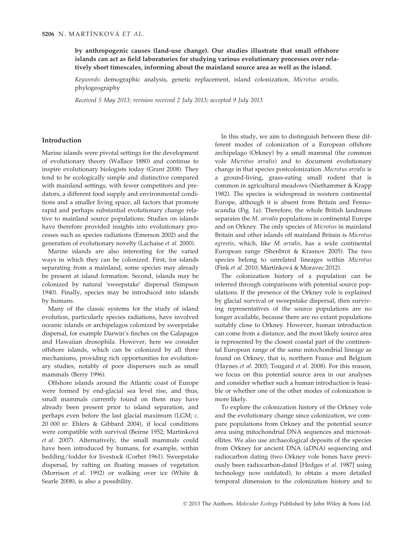by anthropogenic causes (land-use change). Our studies illustrate that small offshore islands can act as field laboratories for studying various evolutionary processes over relatively short timescales, informing about the mainland source area as well as the island.

Keywords: demographic analysis, genetic replacement, island colonization, Microtus arvalis, phylogeography

Received 5 May 2013; revision received 2 July 2013; accepted 9 July 2013

# Introduction

Marine islands were pivotal settings for the development of evolutionary theory (Wallace 1880) and continue to inspire evolutionary biologists today (Grant 2008). They tend to be ecologically simple and distinctive compared with mainland settings, with fewer competitors and predators, a different food supply and environmental conditions and a smaller living space, all factors that promote rapid and perhaps substantial evolutionary change relative to mainland source populations. Studies on islands have therefore provided insights into evolutionary processes such as species radiations (Emerson 2002) and the generation of evolutionary novelty (Lachaise et al. 2000).

Marine islands are also interesting for the varied ways in which they can be colonized. First, for islands separating from a mainland, some species may already be present at island formation. Second, islands may be colonized by natural 'sweepstake' dispersal (Simpson 1940). Finally, species may be introduced into islands by humans.

Many of the classic systems for the study of island evolution, particularly species radiations, have involved oceanic islands or archipelagos colonized by sweepstake dispersal, for example Darwin's finches on the Galapagos and Hawaiian drosophila. However, here we consider offshore islands, which can be colonized by all three mechanisms, providing rich opportunities for evolutionary studies, notably of poor dispersers such as small mammals (Berry 1996).

Offshore islands around the Atlantic coast of Europe were formed by end-glacial sea level rise, and thus, small mammals currently found on them may have already been present prior to island separation, and perhaps even before the last glacial maximum (LGM; c. 20 000 BP: Ehlers & Gibbard 2004), if local conditions were compatible with survival (Beirne 1952; Martínková et al. 2007). Alternatively, the small mammals could have been introduced by humans, for example, within bedding/fodder for livestock (Corbet 1961). Sweepstake dispersal, by rafting on floating masses of vegetation (Morrison et al. 1992) or walking over ice (White & Searle 2008), is also a possibility.

In this study, we aim to distinguish between these different modes of colonization of a European offshore archipelago (Orkney) by a small mammal (the common vole Microtus arvalis) and to document evolutionary change in that species postcolonization. Microtus arvalis is a ground-living, grass-eating small rodent that is common in agricultural meadows (Niethammer & Krapp 1982). The species is widespread in western continental Europe, although it is absent from Britain and Fennoscandia (Fig. 1a). Therefore, the whole British landmass separates the M. arvalis populations in continental Europe and on Orkney. The only species of Microtus in mainland Britain and other islands off mainland Britain is Microtus agrestis, which, like M. arvalis, has a wide continental European range (Shenbrot & Krasnov 2005). The two species belong to unrelated lineages within Microtus (Fink et al. 2010; Martínková & Moravec 2012).

The colonization history of a population can be inferred through comparisons with potential source populations. If the presence of the Orkney vole is explained by glacial survival or sweepstake dispersal, then surviving representatives of the source populations are no longer available, because there are no extant populations suitably close to Orkney. However, human introduction can come from a distance, and the most likely source area is represented by the closest coastal part of the continental European range of the same mitochondrial lineage as found on Orkney, that is, northern France and Belgium (Haynes et al. 2003; Tougard et al. 2008). For this reason, we focus on this potential source area in our analyses and consider whether such a human introduction is feasible or whether one of the other modes of colonization is more likely.

To explore the colonization history of the Orkney vole and the evolutionary change since colonization, we compare populations from Orkney and the potential source area using mitochondrial DNA sequences and microsatellites. We also use archaeological deposits of the species from Orkney for ancient DNA (aDNA) sequencing and radiocarbon dating (two Orkney vole bones have previously been radiocarbon-dated [Hedges et al. 1987] using technology now outdated), to obtain a more detailed temporal dimension to the colonization history and to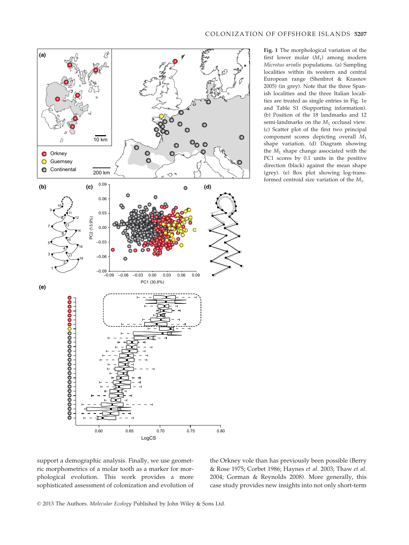

Fig. 1 The morphological variation of the first lower molar  $(M_1)$  among modern Microtus arvalis populations. (a) Sampling localities within its western and central European range (Shenbrot & Krasnov 2005) (in grey). Note that the three Spanish localities and the three Italian localities are treated as single entries in Fig. 1e and Table S1 (Supporting information). (b) Position of the 18 landmarks and 12 semi-landmarks on the  $M_1$  occlusal view. (c) Scatter plot of the first two principal component scores depicting overall M<sup>1</sup> shape variation. (d) Diagram showing the  $M_1$  shape change associated with the PC1 scores by 0.1 units in the positive direction (black) against the mean shape (grey). (e) Box plot showing log-transformed centroid size variation of the  $M_1$ .

support a demographic analysis. Finally, we use geometric morphometrics of a molar tooth as a marker for morphological evolution. This work provides a more sophisticated assessment of colonization and evolution of

the Orkney vole than has previously been possible (Berry & Rose 1975; Corbet 1986; Haynes et al. 2003; Thaw et al. 2004; Gorman & Reynolds 2008). More generally, this case study provides new insights into not only short-term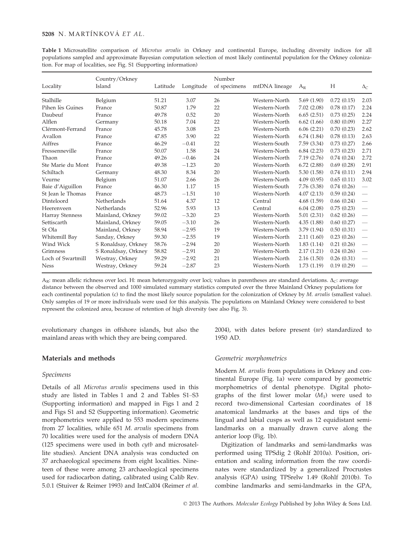| Table 1 Microsatellite comparison of Microtus arvalis in Orkney and continental Europe, including diversity indices for all       |  |  |  |  |  |  |  |
|-----------------------------------------------------------------------------------------------------------------------------------|--|--|--|--|--|--|--|
| populations sampled and approximate Bayesian computation selection of most likely continental population for the Orkney coloniza- |  |  |  |  |  |  |  |
| tion. For map of localities, see Fig. S1 (Supporting information)                                                                 |  |  |  |  |  |  |  |

| Locality               | Country/Orkney<br>Island | Latitude | Longitude | Number<br>of specimens | mtDNA lineage | $A_{R}$     | H          | $\Delta_C$               |
|------------------------|--------------------------|----------|-----------|------------------------|---------------|-------------|------------|--------------------------|
| Stalhille              | Belgium                  | 51.21    | 3.07      | 26                     | Western-North | 5.69(1.90)  | 0.72(0.15) | 2.03                     |
| Pihen lès Guînes       | France                   | 50.87    | 1.79      | 22                     | Western-North | 7.02(2.08)  | 0.78(0.17) | 2.24                     |
| Daubeuf                | France                   | 49.78    | 0.52      | 20                     | Western-North | 6.65(2.51)  | 0.73(0.25) | 2.24                     |
| Alflen                 | Germany                  | 50.18    | 7.04      | 22                     | Western-North | 6.62(1.66)  | 0.80(0.09) | 2.27                     |
| Clérmont-Ferrand       | France                   | 45.78    | 3.08      | 23                     | Western-North | 6.06(2.21)  | 0.70(0.23) | 2.62                     |
| Avallon                | France                   | 47.85    | 3.90      | 22                     | Western-North | 6.74(1.84)  | 0.78(0.13) | 2.63                     |
| Aiffres                | France                   | 46.29    | $-0.41$   | 22                     | Western-South | 7.59(3.34)  | 0.73(0.27) | 2.66                     |
| Fressenneville         | France                   | 50.07    | 1.58      | 24                     | Western-North | 6.84(2.23)  | 0.73(0.23) | 2.71                     |
| Thaon                  | France                   | 49.26    | $-0.46$   | 24                     | Western-North | 7.19(2.76)  | 0.74(0.24) | 2.72                     |
| Ste Marie du Mont      | France                   | 49.38    | $-1.23$   | 20                     | Western-North | 6.72(2.88)  | 0.69(0.28) | 2.91                     |
| Schiltach              | Germany                  | 48.30    | 8.34      | 20                     | Western-North | 5.30 (1.58) | 0.74(0.11) | 2.94                     |
| Veurne                 | Belgium                  | 51.07    | 2.66      | 26                     | Western-North | 4.09(0.95)  | 0.65(0.11) | 3.02                     |
| Baie d'Aiguillon       | France                   | 46.30    | 1.17      | 15                     | Western-South | 7.76 (3.38) | 0.74(0.26) | $\overline{\phantom{0}}$ |
| St Jean le Thomas      | France                   | 48.73    | $-1.51$   | 10                     | Western-North | 4.07(2.13)  | 0.59(0.24) | $\overline{\phantom{0}}$ |
| Dinteloord             | Netherlands              | 51.64    | 4.37      | 12                     | Central       | 4.68(1.59)  | 0.66(0.24) |                          |
| Heerenveen             | Netherlands              | 52.96    | 5.93      | 13                     | Central       | 6.04(2.08)  | 0.75(0.23) |                          |
| <b>Harray Stenness</b> | Mainland, Orkney         | 59.02    | $-3.20$   | 23                     | Western-North | 5.01(2.31)  | 0.62(0.26) |                          |
| Settiscarth            | Mainland, Orkney         | 59.05    | $-3.10$   | 26                     | Western-North | 4.35(1.88)  | 0.60(0.27) |                          |
| St Ola                 | Mainland, Orkney         | 58.94    | $-2.95$   | 19                     | Western-North | 3.79 (1.94) | 0.50(0.31) | $\overline{\phantom{0}}$ |
| Whitemill Bay          | Sanday, Orkney           | 59.30    | $-2.55$   | 19                     | Western-North | 2.11(1.60)  | 0.23(0.26) | $\overline{\phantom{0}}$ |
| Wind Wick              | S Ronaldsay, Orkney      | 58.76    | $-2.94$   | 20                     | Western-North | 1.83(1.14)  | 0.21(0.26) | $\overline{\phantom{0}}$ |
| Grimness               | S Ronaldsay, Orkney      | 58.82    | $-2.91$   | 20                     | Western-North | 2.17(1.21)  | 0.24(0.26) |                          |
| Loch of Swartmill      | Westray, Orkney          | 59.29    | $-2.92$   | 21                     | Western-North | 2.16(1.50)  | 0.26(0.31) |                          |
| <b>Ness</b>            | Westray, Orkney          | 59.24    | $-2.87$   | 23                     | Western-North | 1.73(1.19)  | 0.19(0.29) |                          |

 $A_R$ : mean allelic richness over loci. H: mean heterozygosity over loci; values in parentheses are standard deviations.  $\Delta_C$ : average distance between the observed and 1000 simulated summary statistics computed over the three Mainland Orkney populations for each continental population (c) to find the most likely source population for the colonization of Orkney by M. arvalis (smallest value). Only samples of 19 or more individuals were used for this analysis. The populations on Mainland Orkney were considered to best represent the colonized area, because of retention of high diversity (see also Fig. 3).

evolutionary changes in offshore islands, but also the mainland areas with which they are being compared.

# Materials and methods

## Specimens

Details of all Microtus arvalis specimens used in this study are listed in Tables 1 and 2 and Tables S1–S3 (Supporting information) and mapped in Figs 1 and 2 and Figs S1 and S2 (Supporting information). Geometric morphometrics were applied to 553 modern specimens from 27 localities, while 651 M. arvalis specimens from 70 localities were used for the analysis of modern DNA (125 specimens were used in both cytb and microsatellite studies). Ancient DNA analysis was conducted on 37 archaeological specimens from eight localities. Nineteen of these were among 23 archaeological specimens used for radiocarbon dating, calibrated using Calib Rev. 5.0.1 (Stuiver & Reimer 1993) and IntCal04 (Reimer et al. 2004), with dates before present (BP) standardized to 1950 AD.

# Geometric morphometrics

Modern M. arvalis from populations in Orkney and continental Europe (Fig. 1a) were compared by geometric morphometrics of dental phenotype. Digital photographs of the first lower molar  $(M_1)$  were used to record two-dimensional Cartesian coordinates of 18 anatomical landmarks at the bases and tips of the lingual and labial cusps as well as 12 equidistant semilandmarks on a manually drawn curve along the anterior loop (Fig. 1b).

Digitization of landmarks and semi-landmarks was performed using TPSdig 2 (Rohlf 2010a). Position, orientation and scaling information from the raw coordinates were standardized by a generalized Procrustes analysis (GPA) using TPSrelw 1.49 (Rohlf 2010b). To combine landmarks and semi-landmarks in the GPA,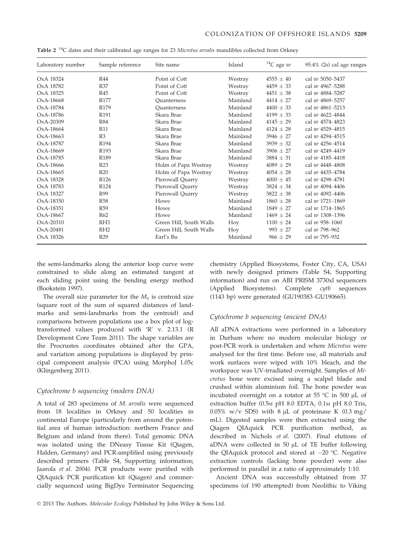| Laboratory number | Sample reference | Site name               | Island   | ${}^{14}C$ age BP | $95.4\%$ (2s) cal age ranges |
|-------------------|------------------|-------------------------|----------|-------------------|------------------------------|
| OxA 18324         | <b>R44</b>       | Point of Cott           | Westray  | $4555 \pm 40$     | cal BP 5050-5437             |
| OxA 18782         | <b>R37</b>       | Point of Cott           | Westray  | $4459 \pm 33$     | cal BP 4967-5288             |
| OxA 18325         | R45              | Point of Cott           | Westray  | $4451 \pm 38$     | cal BP 4884-5287             |
| OxA-18668         | R <sub>177</sub> | Ouanterness             | Mainland | $4414 \pm 27$     | cal BP 4869-5257             |
| $OxA-18784$       | R <sub>179</sub> | Ouanterness             | Mainland | $4400 \pm 33$     | cal BP 4861-5213             |
| OxA-18786         | R <sub>191</sub> | Skara Brae              | Mainland | $4199 \pm 33$     | cal BP 4622-4844             |
| $OxA-20309$       | <b>R84</b>       | Skara Brae              | Mainland | $4145 \pm 29$     | cal BP 4574-4823             |
| OxA-18664         | <b>R11</b>       | Skara Brae              | Mainland | $4124 \pm 28$     | cal BP 4529-4815             |
| $OxA-18663$       | R <sub>3</sub>   | Skara Brae              | Mainland | $3946 \pm 27$     | cal BP 4294-4515             |
| OxA-18787         | R <sub>194</sub> | Skara Brae              | Mainland | $3939 \pm 32$     | cal BP 4256-4514             |
| OxA-18669         | R <sub>193</sub> | Skara Brae              | Mainland | $3906 \pm 27$     | cal BP 4249-4419             |
| $OxA-18785$       | R <sub>189</sub> | Skara Brae              | Mainland | $3884 \pm 31$     | cal BP 4185-4418             |
| OxA-18666         | R23              | Holm of Papa Westray    | Westray  | $4089 \pm 29$     | cal BP 4448-4808             |
| OxA-18665         | R20              | Holm of Papa Westray    | Westray  | $4054 \pm 28$     | cal BP 4435-4784             |
| OxA 18328         | R <sub>126</sub> | Pierowall Quarry        | Westray  | $4000 \pm 45$     | cal BP 4298-4781             |
| OxA 18783         | R <sub>124</sub> | Pierowall Quarry        | Westray  | $3824 \pm 34$     | cal BP 4094-4406             |
| OxA 18327         | <b>R99</b>       | Pierowall Quarry        | Westray  | $3822 \pm 38$     | cal BP 4092-4406             |
| OxA-18350         | <b>R58</b>       | Howe                    | Mainland | $1860 \pm 28$     | cal BP 1721-1869             |
| OxA-18351         | <b>R59</b>       | Howe                    | Mainland | $1849 \pm 27$     | cal BP 1714-1865             |
| OxA-18667         | R <sub>62</sub>  | Howe                    | Mainland | $1469 \pm 24$     | cal BP 1308-1396             |
| $OxA-20310$       | R <sub>H3</sub>  | Green Hill, South Walls | Hoy      | $1100 \pm 24$     | cal BP 958-1060              |
| OxA-20481         | RH2              | Green Hill, South Walls | Hoy      | $993 \pm 27$      | cal BP 798-962               |
| OxA 18326         | R <sub>29</sub>  | Earl's Bu               | Mainland | $966 \pm 29$      | cal BP 795-932               |

Table 2<sup>14</sup>C dates and their calibrated age ranges for 23 Microtus arvalis mandibles collected from Orkney

the semi-landmarks along the anterior loop curve were constrained to slide along an estimated tangent at each sliding point using the bending energy method (Bookstein 1997).

The overall size parameter for the  $M_1$  is centroid size (square root of the sum of squared distances of landmarks and semi-landmarks from the centroid) and comparisons between populations use a box plot of logtransformed values produced with 'R' v. 2.13.1 (R Development Core Team 2011). The shape variables are the Procrustes coordinates obtained after the GPA, and variation among populations is displayed by principal component analysis (PCA) using MorphoJ 1.05c (Klingenberg 2011).

# Cytochrome b sequencing (modern DNA)

A total of 283 specimens of M. arvalis were sequenced from 18 localities in Orkney and 50 localities in continental Europe (particularly from around the potential area of human introduction: northern France and Belgium and inland from there). Total genomic DNA was isolated using the DNeasy Tissue Kit (Qiagen, Halden, Germany) and PCR-amplified using previously described primers (Table S4, Supporting information; Jaarola et al. 2004). PCR products were purified with QIAquick PCR purification kit (Qiagen) and commercially sequenced using BigDye Terminator Sequencing chemistry (Applied Biosystems, Foster City, CA, USA) with newly designed primers (Table S4, Supporting information) and run on ABI PRISM 3730xl sequencers (Applied Biosystems). Complete cytb sequences (1143 bp) were generated (GU190383–GU190665).

# Cytochrome b sequencing (ancient DNA)

All aDNA extractions were performed in a laboratory in Durham where no modern molecular biology or post-PCR work is undertaken and where Microtus were analysed for the first time. Before use, all materials and work surfaces were wiped with 10% bleach, and the workspace was UV-irradiated overnight. Samples of Microtus bone were excised using a scalpel blade and crushed within aluminium foil. The bone powder was incubated overnight on a rotator at 55  $^{\circ}$ C in 500 µL of extraction buffer (0.5M pH 8.0 EDTA, 0.1M pH 8.0 Tris, 0.05% w/v SDS) with 8  $\mu$ L of proteinase K (0.3 mg/ mL). Digested samples were then extracted using the Qiagen QIAquick PCR purification method, as described in Nichols et al. (2007). Final elutions of aDNA were collected in 50  $\mu$ L of TE buffer following the QIAquick protocol and stored at  $-20$  °C. Negative extraction controls (lacking bone powder) were also performed in parallel in a ratio of approximately 1:10.

Ancient DNA was successfully obtained from 37 specimens (of 190 attempted) from Neolithic to Viking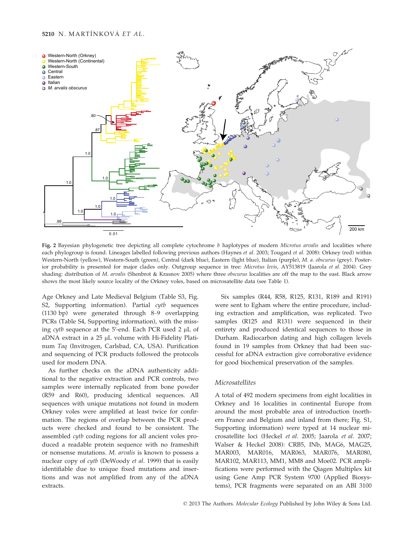

Fig. 2 Bayesian phylogenetic tree depicting all complete cytochrome b haplotypes of modern Microtus arvalis and localities where each phylogroup is found. Lineages labelled following previous authors (Haynes et al. 2003; Tougard et al. 2008): Orkney (red) within Western-North (yellow), Western-South (green), Central (dark blue), Eastern (light blue), Italian (purple), M. a. obscurus (grey). Posterior probability is presented for major clades only. Outgroup sequence in tree: Microtus levis, AY513819 (Jaarola et al. 2004). Grey shading: distribution of M. arvalis (Shenbrot & Krasnov 2005) where three *obscurus* localities are off the map to the east. Black arrow shows the most likely source locality of the Orkney voles, based on microsatellite data (see Table 1).

Age Orkney and Late Medieval Belgium (Table S3, Fig. S2, Supporting information). Partial cytb sequences (1130 bp) were generated through 8–9 overlapping PCRs (Table S4, Supporting information), with the missing cytb sequence at the 5'-end. Each PCR used  $2 \mu L$  of aDNA extract in a 25 µL volume with Hi-Fidelity Platinum Taq (Invitrogen, Carlsbad, CA, USA). Purification and sequencing of PCR products followed the protocols used for modern DNA.

As further checks on the aDNA authenticity additional to the negative extraction and PCR controls, two samples were internally replicated from bone powder (R59 and R60), producing identical sequences. All sequences with unique mutations not found in modern Orkney voles were amplified at least twice for confirmation. The regions of overlap between the PCR products were checked and found to be consistent. The assembled cytb coding regions for all ancient voles produced a readable protein sequence with no frameshift or nonsense mutations. M. arvalis is known to possess a nuclear copy of cytb (DeWoody et al. 1999) that is easily identifiable due to unique fixed mutations and insertions and was not amplified from any of the aDNA extracts.

Six samples (R44, R58, R125, R131, R189 and R191) were sent to Egham where the entire procedure, including extraction and amplification, was replicated. Two samples (R125 and R131) were sequenced in their entirety and produced identical sequences to those in Durham. Radiocarbon dating and high collagen levels found in 19 samples from Orkney that had been successful for aDNA extraction give corroborative evidence for good biochemical preservation of the samples.

#### Microsatellites

A total of 492 modern specimens from eight localities in Orkney and 16 localities in continental Europe from around the most probable area of introduction (northern France and Belgium and inland from there; Fig. S1, Supporting information) were typed at 14 nuclear microsatellite loci (Heckel et al. 2005; Jaarola et al. 2007; Walser & Heckel 2008): CRB5, INb, MAG6, MAG25, MAR003, MAR016, MAR063, MAR076, MAR080, MAR102, MAR113, MM1, MM8 and Moe02. PCR amplifications were performed with the Qiagen Multiplex kit using Gene Amp PCR System 9700 (Applied Biosystems), PCR fragments were separated on an ABI 3100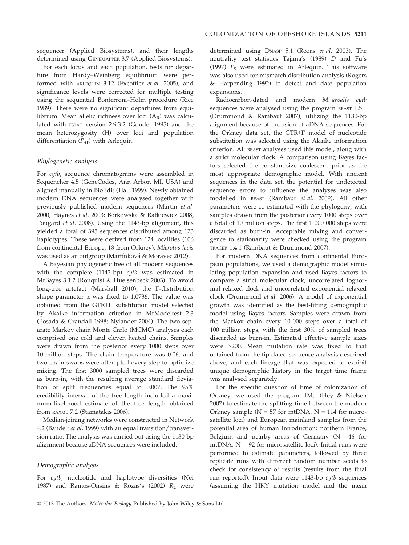sequencer (Applied Biosystems), and their lengths determined using GENEMAPPER 3.7 (Applied Biosystems).

For each locus and each population, tests for departure from Hardy–Weinberg equilibrium were performed with ARLEQUIN 3.12 (Excoffier et al. 2005), and significance levels were corrected for multiple testing using the sequential Bonferroni–Holm procedure (Rice 1989). There were no significant departures from equilibrium. Mean allelic richness over loci  $(A_R)$  was calculated with FSTAT version 2.9.3.2 (Goudet 1995) and the mean heterozygosity (H) over loci and population differentiation  $(F_{ST})$  with Arlequin.

## Phylogenetic analysis

For cytb, sequence chromatograms were assembled in Sequencher 4.5 (GeneCodes, Ann Arbor, MI, USA) and aligned manually in BioEdit (Hall 1999). Newly obtained modern DNA sequences were analysed together with previously published modern sequences (Martin et al. 2000; Haynes et al. 2003; Borkowska & Ratkiewicz 2008; Tougard et al. 2008). Using the 1143-bp alignment, this yielded a total of 395 sequences distributed among 173 haplotypes. These were derived from 124 localities (106 from continental Europe, 18 from Orkney). Microtus levis was used as an outgroup (Martínková & Moravec 2012).

A Bayesian phylogenetic tree of all modern sequences with the complete (1143 bp) *cytb* was estimated in MrBayes 3.1.2 (Ronquist & Huelsenbeck 2003). To avoid long-tree artefact (Marshall 2010), the Γ-distribution shape parameter  $\alpha$  was fixed to 1.0736. The value was obtained from the GTR+Γ substitution model selected by Akaike information criterion in MrModeltest 2.3 (Posada & Crandall 1998; Nylander 2004). The two separate Markov chain Monte Carlo (MCMC) analyses each comprised one cold and eleven heated chains. Samples were drawn from the posterior every 1000 steps over 10 million steps. The chain temperature was 0.06, and two chain swaps were attempted every step to optimize mixing. The first 3000 sampled trees were discarded as burn-in, with the resulting average standard deviation of split frequencies equal to 0.007. The 95% credibility interval of the tree length included a maximum-likelihood estimate of the tree length obtained from RAXML 7.2 (Stamatakis 2006).

Median-joining networks were constructed in Network 4.2 (Bandelt et al. 1999) with an equal transition/transversion ratio. The analysis was carried out using the 1130-bp alignment because aDNA sequences were included.

# Demographic analysis

For cytb, nucleotide and haplotype diversities (Nei 1987) and Ramos-Onsins & Rozas's (2002)  $R_2$  were determined using DNASP 5.1 (Rozas et al. 2003). The neutrality test statistics Tajima's (1989) D and Fu's (1997)  $F_s$  were estimated in Arlequin. This software was also used for mismatch distribution analysis (Rogers & Harpending 1992) to detect and date population expansions.

Radiocarbon-dated and modern M. arvalis cytb sequences were analysed using the program BEAST 1.5.1 (Drummond & Rambaut 2007), utilizing the 1130-bp alignment because of inclusion of aDNA sequences. For the Orkney data set, the GTR+Γ model of nucleotide substitution was selected using the Akaike information criterion. All BEAST analyses used this model, along with a strict molecular clock. A comparison using Bayes factors selected the constant-size coalescent prior as the most appropriate demographic model. With ancient sequences in the data set, the potential for undetected sequence errors to influence the analyses was also modelled in BEAST (Rambaut et al. 2009). All other parameters were co-estimated with the phylogeny, with samples drawn from the posterior every 1000 steps over a total of 10 million steps. The first 1 000 000 steps were discarded as burn-in. Acceptable mixing and convergence to stationarity were checked using the program TRACER 1.4.1 (Rambaut & Drummond 2007).

For modern DNA sequences from continental European populations, we used a demographic model simulating population expansion and used Bayes factors to compare a strict molecular clock, uncorrelated lognormal relaxed clock and uncorrelated exponential relaxed clock (Drummond et al. 2006). A model of exponential growth was identified as the best-fitting demographic model using Bayes factors. Samples were drawn from the Markov chain every 10 000 steps over a total of 100 million steps, with the first 30% of sampled trees discarded as burn-in. Estimated effective sample sizes were >200. Mean mutation rate was fixed to that obtained from the tip-dated sequence analysis described above, and each lineage that was expected to exhibit unique demographic history in the target time frame was analysed separately.

For the specific question of time of colonization of Orkney, we used the program IMa (Hey & Nielsen 2007) to estimate the splitting time between the modern Orkney sample ( $N = 57$  for mtDNA,  $N = 114$  for microsatellite loci) and European mainland samples from the potential area of human introduction: northern France, Belgium and nearby areas of Germany  $(N = 46$  for mtDNA,  $N = 92$  for microsatellite loci). Initial runs were performed to estimate parameters, followed by three replicate runs with different random number seeds to check for consistency of results (results from the final run reported). Input data were 1143-bp cytb sequences (assuming the HKY mutation model and the mean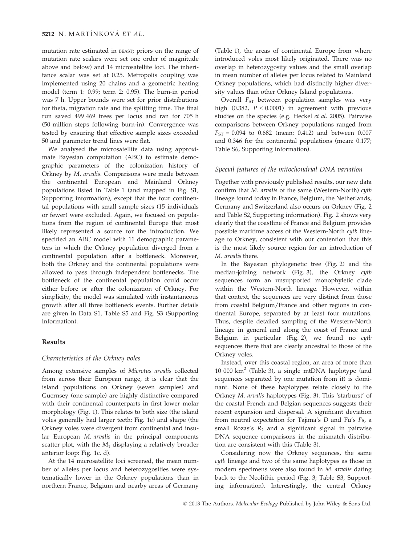mutation rate estimated in BEAST; priors on the range of mutation rate scalars were set one order of magnitude above and below) and 14 microsatellite loci. The inheritance scalar was set at 0.25. Metropolis coupling was implemented using 20 chains and a geometric heating model (term 1: 0.99; term 2: 0.95). The burn-in period was 7 h. Upper bounds were set for prior distributions for theta, migration rate and the splitting time. The final run saved 499 469 trees per locus and ran for 705 h (50 million steps following burn-in). Convergence was tested by ensuring that effective sample sizes exceeded 50 and parameter trend lines were flat.

We analysed the microsatellite data using approximate Bayesian computation (ABC) to estimate demographic parameters of the colonization history of Orkney by M. arvalis. Comparisons were made between the continental European and Mainland Orkney populations listed in Table 1 (and mapped in Fig. S1, Supporting information), except that the four continental populations with small sample sizes (15 individuals or fewer) were excluded. Again, we focused on populations from the region of continental Europe that most likely represented a source for the introduction. We specified an ABC model with 11 demographic parameters in which the Orkney population diverged from a continental population after a bottleneck. Moreover, both the Orkney and the continental populations were allowed to pass through independent bottlenecks. The bottleneck of the continental population could occur either before or after the colonization of Orkney. For simplicity, the model was simulated with instantaneous growth after all three bottleneck events. Further details are given in Data S1, Table S5 and Fig. S3 (Supporting information).

### Results

### Characteristics of the Orkney voles

Among extensive samples of Microtus arvalis collected from across their European range, it is clear that the island populations on Orkney (seven samples) and Guernsey (one sample) are highly distinctive compared with their continental counterparts in first lower molar morphology (Fig. 1). This relates to both size (the island voles generally had larger teeth: Fig. 1e) and shape (the Orkney voles were divergent from continental and insular European M. arvalis in the principal components scatter plot, with the  $M_1$  displaying a relatively broader anterior loop: Fig. 1c, d).

At the 14 microsatellite loci screened, the mean number of alleles per locus and heterozygosities were systematically lower in the Orkney populations than in northern France, Belgium and nearby areas of Germany

(Table 1), the areas of continental Europe from where introduced voles most likely originated. There was no overlap in heterozygosity values and the small overlap in mean number of alleles per locus related to Mainland Orkney populations, which had distinctly higher diversity values than other Orkney Island populations.

Overall  $F_{ST}$  between population samples was very high (0.382,  $P < 0.0001$ ) in agreement with previous studies on the species (e.g. Heckel et al. 2005). Pairwise comparisons between Orkney populations ranged from  $F_{ST} = 0.094$  to 0.682 (mean: 0.412) and between 0.007 and 0.346 for the continental populations (mean: 0.177; Table S6, Supporting information).

## Special features of the mitochondrial DNA variation

Together with previously published results, our new data confirm that M. arvalis of the same (Western-North) cytb lineage found today in France, Belgium, the Netherlands, Germany and Switzerland also occurs on Orkney (Fig. 2 and Table S2, Supporting information). Fig. 2 shows very clearly that the coastline of France and Belgium provides possible maritime access of the Western-North cytb lineage to Orkney, consistent with our contention that this is the most likely source region for an introduction of M. arvalis there.

In the Bayesian phylogenetic tree (Fig. 2) and the median-joining network (Fig. 3), the Orkney cytb sequences form an unsupported monophyletic clade within the Western-North lineage. However, within that context, the sequences are very distinct from those from coastal Belgium/France and other regions in continental Europe, separated by at least four mutations. Thus, despite detailed sampling of the Western-North lineage in general and along the coast of France and Belgium in particular (Fig. 2), we found no cytb sequences there that are clearly ancestral to those of the Orkney voles.

Instead, over this coastal region, an area of more than 10 000 km<sup>2</sup> (Table 3), a single mtDNA haplotype (and sequences separated by one mutation from it) is dominant. None of these haplotypes relate closely to the Orkney M. arvalis haplotypes (Fig. 3). This 'starburst' of the coastal French and Belgian sequences suggests their recent expansion and dispersal. A significant deviation from neutral expectation for Tajima's D and Fu's Fs, a small Rozas's  $R_2$  and a significant signal in pairwise DNA sequence comparisons in the mismatch distribution are consistent with this (Table 3).

Considering now the Orkney sequences, the same cytb lineage and two of the same haplotypes as those in modern specimens were also found in M. arvalis dating back to the Neolithic period (Fig. 3; Table S3, Supporting information). Interestingly, the central Orkney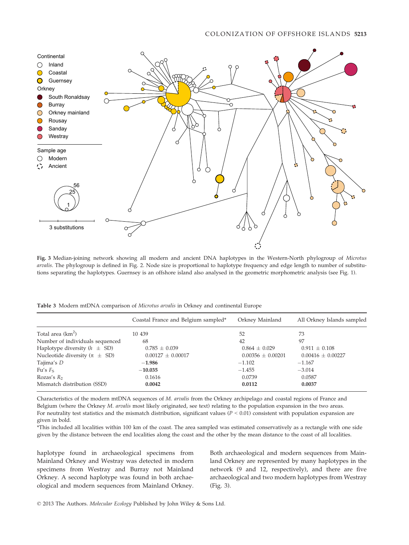

Fig. 3 Median-joining network showing all modern and ancient DNA haplotypes in the Western-North phylogroup of Microtus arvalis. The phylogroup is defined in Fig. 2. Node size is proportional to haplotype frequency and edge length to number of substitutions separating the haplotypes. Guernsey is an offshore island also analysed in the geometric morphometric analysis (see Fig. 1).

Table 3 Modern mtDNA comparison of Microtus arvalis in Orkney and continental Europe

|                                       | Coastal France and Belgium sampled* | Orkney Mainland       | All Orkney Islands sampled |
|---------------------------------------|-------------------------------------|-----------------------|----------------------------|
| Total area $(km^2)$                   | 10 439                              | 52                    | 73                         |
| Number of individuals sequenced       | 68                                  | 42                    | 97                         |
| Haplotype diversity $(h \pm SD)$      | $0.785 \pm 0.039$                   | $0.864 \pm 0.029$     | $0.911 \pm 0.108$          |
| Nucleotide diversity ( $\pi \pm SD$ ) | $0.00127 \pm 0.00017$               | $0.00356 \pm 0.00201$ | $0.00416 \pm 0.00227$      |
| Tajima's D                            | $-1.986$                            | $-1.102$              | $-1.167$                   |
| $Fu's F_s$                            | $-10.035$                           | $-1.455$              | $-3.014$                   |
| Rozas's $R_2$                         | 0.1616                              | 0.0739                | 0.0587                     |
| Mismatch distribution (SSD)           | 0.0042                              | 0.0112                | 0.0037                     |

Characteristics of the modern mtDNA sequences of M. arvalis from the Orkney archipelago and coastal regions of France and Belgium (where the Orkney M. arvalis most likely originated, see text) relating to the population expansion in the two areas. For neutrality test statistics and the mismatch distribution, significant values ( $P < 0.01$ ) consistent with population expansion are given in bold.

\*This included all localities within 100 km of the coast. The area sampled was estimated conservatively as a rectangle with one side given by the distance between the end localities along the coast and the other by the mean distance to the coast of all localities.

haplotype found in archaeological specimens from Mainland Orkney and Westray was detected in modern specimens from Westray and Burray not Mainland Orkney. A second haplotype was found in both archaeological and modern sequences from Mainland Orkney. Both archaeological and modern sequences from Mainland Orkney are represented by many haplotypes in the network (9 and 12, respectively), and there are five archaeological and two modern haplotypes from Westray (Fig. 3).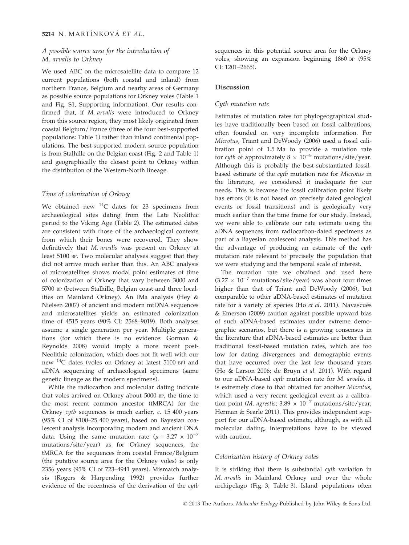# 5214 N. MARTINKOVÁ ET AL.

# A possible source area for the introduction of M. arvalis to Orkney

We used ABC on the microsatellite data to compare 12 current populations (both coastal and inland) from northern France, Belgium and nearby areas of Germany as possible source populations for Orkney voles (Table 1 and Fig. S1, Supporting information). Our results confirmed that, if M. arvalis were introduced to Orkney from this source region, they most likely originated from coastal Belgium/France (three of the four best-supported populations: Table 1) rather than inland continental populations. The best-supported modern source population is from Stalhille on the Belgian coast (Fig. 2 and Table 1) and geographically the closest point to Orkney within the distribution of the Western-North lineage.

## Time of colonization of Orkney

We obtained new  $^{14}C$  dates for 23 specimens from archaeological sites dating from the Late Neolithic period to the Viking Age (Table 2). The estimated dates are consistent with those of the archaeological contexts from which their bones were recovered. They show definitively that M. arvalis was present on Orkney at least 5100 BP. Two molecular analyses suggest that they did not arrive much earlier than this. An ABC analysis of microsatellites shows modal point estimates of time of colonization of Orkney that vary between 3000 and 5700 BP (between Stalhille, Belgian coast and three localities on Mainland Orkney). An IMa analysis (Hey & Nielsen 2007) of ancient and modern mtDNA sequences and microsatellites yields an estimated colonization time of 4515 years (90% CI: 2568–9019). Both analyses assume a single generation per year. Multiple generations (for which there is no evidence: Gorman & Reynolds 2008) would imply a more recent post-Neolithic colonization, which does not fit well with our new  $^{14}$ C dates (voles on Orkney at latest 5100 BP) and aDNA sequencing of archaeological specimens (same genetic lineage as the modern specimens).

While the radiocarbon and molecular dating indicate that voles arrived on Orkney about 5000 BP, the time to the most recent common ancestor (tMRCA) for the Orkney cytb sequences is much earlier, c. 15 400 years (95% CI of 8100–25 400 years), based on Bayesian coalescent analysis incorporating modern and ancient DNA data. Using the same mutation rate ( $\mu = 3.27 \times 10^{-7}$ mutations/site/year) as for Orkney sequences, the tMRCA for the sequences from coastal France/Belgium (the putative source area for the Orkney voles) is only 2356 years (95% CI of 723–4941 years). Mismatch analysis (Rogers & Harpending 1992) provides further evidence of the recentness of the derivation of the cytb sequences in this potential source area for the Orkney voles, showing an expansion beginning 1860 BP (95% CI: 1201–2665).

# Discussion

## Cytb mutation rate

Estimates of mutation rates for phylogeographical studies have traditionally been based on fossil calibrations, often founded on very incomplete information. For Microtus, Triant and DeWoody (2006) used a fossil calibration point of 1.5 Ma to provide a mutation rate for cytb of approximately  $8 \times 10^{-8}$  mutations/site/year. Although this is probably the best-substantiated fossilbased estimate of the cytb mutation rate for Microtus in the literature, we considered it inadequate for our needs. This is because the fossil calibration point likely has errors (it is not based on precisely dated geological events or fossil transitions) and is geologically very much earlier than the time frame for our study. Instead, we were able to calibrate our rate estimate using the aDNA sequences from radiocarbon-dated specimens as part of a Bayesian coalescent analysis. This method has the advantage of producing an estimate of the cytb mutation rate relevant to precisely the population that we were studying and the temporal scale of interest.

The mutation rate we obtained and used here  $(3.27 \times 10^{-7}$  mutations/site/year) was about four times higher than that of Triant and DeWoody (2006), but comparable to other aDNA-based estimates of mutation rate for a variety of species (Ho et al. 2011). Navascués & Emerson (2009) caution against possible upward bias of such aDNA-based estimates under extreme demographic scenarios, but there is a growing consensus in the literature that aDNA-based estimates are better than traditional fossil-based mutation rates, which are too low for dating divergences and demographic events that have occurred over the last few thousand years (Ho & Larson 2006; de Bruyn et al. 2011). With regard to our aDNA-based cytb mutation rate for M. arvalis, it is extremely close to that obtained for another Microtus, which used a very recent geological event as a calibration point (*M. agrestis*;  $3.89 \times 10^{-7}$  mutations/site/year; Herman & Searle 2011). This provides independent support for our aDNA-based estimate, although, as with all molecular dating, interpretations have to be viewed with caution.

## Colonization history of Orkney voles

It is striking that there is substantial cytb variation in M. arvalis in Mainland Orkney and over the whole archipelago (Fig. 3, Table 3). Island populations often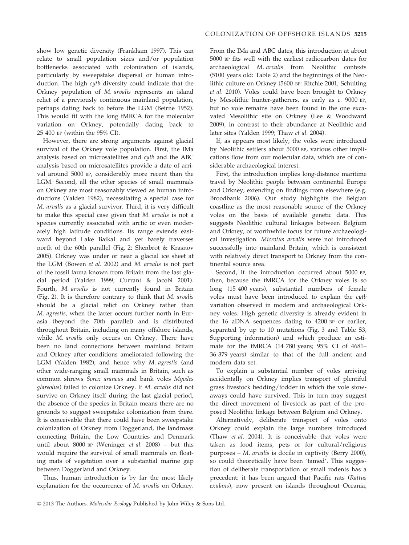show low genetic diversity (Frankham 1997). This can relate to small population sizes and/or population bottlenecks associated with colonization of islands, particularly by sweepstake dispersal or human introduction. The high cytb diversity could indicate that the Orkney population of M. arvalis represents an island relict of a previously continuous mainland population, perhaps dating back to before the LGM (Beirne 1952). This would fit with the long tMRCA for the molecular variation on Orkney, potentially dating back to 25 400 BP (within the 95% CI).

However, there are strong arguments against glacial survival of the Orkney vole population. First, the IMa analysis based on microsatellites and cytb and the ABC analysis based on microsatellites provide a date of arrival around 5000 BP, considerably more recent than the LGM. Second, all the other species of small mammals on Orkney are most reasonably viewed as human introductions (Yalden 1982), necessitating a special case for M. arvalis as a glacial survivor. Third, it is very difficult to make this special case given that M. arvalis is not a species currently associated with arctic or even moderately high latitude conditions. Its range extends eastward beyond Lake Baikal and yet barely traverses north of the 60th parallel (Fig. 2; Shenbrot & Krasnov 2005). Orkney was under or near a glacial ice sheet at the LGM (Bowen et al. 2002) and M. arvalis is not part of the fossil fauna known from Britain from the last glacial period (Yalden 1999; Currant & Jacobi 2001). Fourth, M. arvalis is not currently found in Britain (Fig. 2). It is therefore contrary to think that M. arvalis should be a glacial relict on Orkney rather than M. agrestis, when the latter occurs further north in Eurasia (beyond the 70th parallel) and is distributed throughout Britain, including on many offshore islands, while *M. arvalis* only occurs on Orkney. There have been no land connections between mainland Britain and Orkney after conditions ameliorated following the LGM (Yalden 1982), and hence why M. agrestis (and other wide-ranging small mammals in Britain, such as common shrews Sorex araneus and bank voles Myodes glareolus) failed to colonize Orkney. If M. arvalis did not survive on Orkney itself during the last glacial period, the absence of the species in Britain means there are no grounds to suggest sweepstake colonization from there. It is conceivable that there could have been sweepstake colonization of Orkney from Doggerland, the landmass connecting Britain, the Low Countries and Denmark until about 8000 BP (Weninger et al. 2008) – but this would require the survival of small mammals on floating mats of vegetation over a substantial marine gap between Doggerland and Orkney.

Thus, human introduction is by far the most likely explanation for the occurrence of M. arvalis on Orkney.

From the IMa and ABC dates, this introduction at about 5000 BP fits well with the earliest radiocarbon dates for archaeological M. arvalis from Neolithic contexts (5100 years old: Table 2) and the beginnings of the Neolithic culture on Orkney (5600 BP: Ritchie 2001; Schulting et al. 2010). Voles could have been brought to Orkney by Mesolithic hunter-gatherers, as early as c. 9000 BP, but no vole remains have been found in the one excavated Mesolithic site on Orkney (Lee & Woodward 2009), in contrast to their abundance at Neolithic and later sites (Yalden 1999; Thaw et al. 2004).

If, as appears most likely, the voles were introduced by Neolithic settlers about 5000 BP, various other implications flow from our molecular data, which are of considerable archaeological interest.

First, the introduction implies long-distance maritime travel by Neolithic people between continental Europe and Orkney, extending on findings from elsewhere (e.g. Broodbank 2006). Our study highlights the Belgian coastline as the most reasonable source of the Orkney voles on the basis of available genetic data. This suggests Neolithic cultural linkages between Belgium and Orkney, of worthwhile focus for future archaeological investigation. Microtus arvalis were not introduced successfully into mainland Britain, which is consistent with relatively direct transport to Orkney from the continental source area.

Second, if the introduction occurred about 5000 BP, then, because the tMRCA for the Orkney voles is so long (15 400 years), substantial numbers of female voles must have been introduced to explain the cytb variation observed in modern and archaeological Orkney voles. High genetic diversity is already evident in the 16 aDNA sequences dating to 4200 BP or earlier, separated by up to 10 mutations (Fig. 3 and Table S3, Supporting information) and which produce an estimate for the tMRCA (14 780 years; 95% CI of 4681– 36 379 years) similar to that of the full ancient and modern data set.

To explain a substantial number of voles arriving accidentally on Orkney implies transport of plentiful grass livestock bedding/fodder in which the vole stowaways could have survived. This in turn may suggest the direct movement of livestock as part of the proposed Neolithic linkage between Belgium and Orkney.

Alternatively, deliberate transport of voles onto Orkney could explain the large numbers introduced (Thaw et al. 2004). It is conceivable that voles were taken as food items, pets or for cultural/religious purposes – M. arvalis is docile in captivity (Berry 2000), so could theoretically have been 'tamed'. This suggestion of deliberate transportation of small rodents has a precedent: it has been argued that Pacific rats (Rattus exulans), now present on islands throughout Oceania,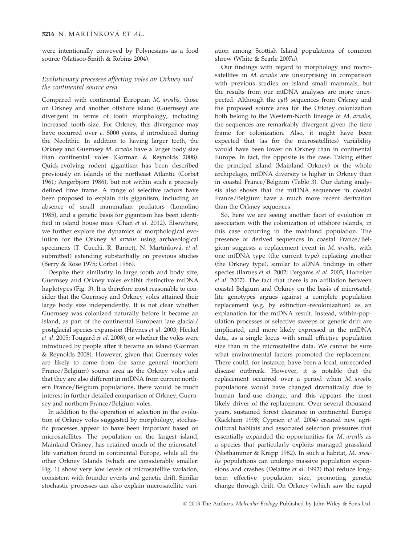were intentionally conveyed by Polynesians as a food source (Matisoo-Smith & Robins 2004).

# Evolutionary processes affecting voles on Orkney and the continental source area

Compared with continental European M. arvalis, those on Orkney and another offshore island (Guernsey) are divergent in terms of tooth morphology, including increased tooth size. For Orkney, this divergence may have occurred over c. 5000 years, if introduced during the Neolithic. In addition to having larger teeth, the Orkney and Guernsey M. arvalis have a larger body size than continental voles (Gorman & Reynolds 2008). Quick-evolving rodent gigantism has been described previously on islands of the northeast Atlantic (Corbet 1961; Angerbjorn 1986), but not within such a precisely defined time frame. A range of selective factors have been proposed to explain this gigantism, including an absence of small mammalian predators (Lomolino 1985), and a genetic basis for gigantism has been identified in island house mice (Chan et al. 2012). Elsewhere, we further explore the dynamics of morphological evolution for the Orkney M. arvalis using archaeological specimens (T. Cucchi, R. Barnett, N. Martínková, et al. submitted) extending substantially on previous studies (Berry & Rose 1975; Corbet 1986).

Despite their similarity in large tooth and body size, Guernsey and Orkney voles exhibit distinctive mtDNA haplotypes (Fig. 3). It is therefore most reasonable to consider that the Guernsey and Orkney voles attained their large body size independently. It is not clear whether Guernsey was colonized naturally before it became an island, as part of the continental European late glacial/ postglacial species expansion (Haynes et al. 2003; Heckel et al. 2005; Tougard et al. 2008), or whether the voles were introduced by people after it became an island (Gorman & Reynolds 2008). However, given that Guernsey voles are likely to come from the same general (northern France/Belgium) source area as the Orkney voles and that they are also different in mtDNA from current northern France/Belgium populations, there would be much interest in further detailed comparison of Orkney, Guernsey and northern France/Belgium voles.

In addition to the operation of selection in the evolution of Orkney voles suggested by morphology, stochastic processes appear to have been important based on microsatellites. The population on the largest island, Mainland Orkney, has retained much of the microsatellite variation found in continental Europe, while all the other Orkney Islands (which are considerably smaller: Fig. 1) show very low levels of microsatellite variation, consistent with founder events and genetic drift. Similar stochastic processes can also explain microsatellite variation among Scottish Island populations of common shrew (White & Searle 2007a).

Our findings with regard to morphology and microsatellites in *M. arvalis* are unsurprising in comparison with previous studies on island small mammals, but the results from our mtDNA analyses are more unexpected. Although the cytb sequences from Orkney and the proposed source area for the Orkney colonization both belong to the Western-North lineage of M. arvalis, the sequences are remarkably divergent given the time frame for colonization. Also, it might have been expected that (as for the microsatellites) variability would have been lower on Orkney than in continental Europe. In fact, the opposite is the case. Taking either the principal island (Mainland Orkney) or the whole archipelago, mtDNA diversity is higher in Orkney than in coastal France/Belgium (Table 3). Our dating analysis also shows that the mtDNA sequences in coastal France/Belgium have a much more recent derivation than the Orkney sequences.

So, here we are seeing another facet of evolution in association with the colonization of offshore islands, in this case occurring in the mainland population. The presence of derived sequences in coastal France/Belgium suggests a replacement event in M. arvalis, with one mtDNA type (the current type) replacing another (the Orkney type), similar to aDNA findings in other species (Barnes et al. 2002; Pergams et al. 2003; Hofreiter et al. 2007). The fact that there is an affiliation between coastal Belgium and Orkney on the basis of microsatellite genotypes argues against a complete population replacement (e.g. by extinction–recolonization) as an explanation for the mtDNA result. Instead, within-population processes of selective sweeps or genetic drift are implicated, and more likely expressed in the mtDNA data, as a single locus with small effective population size than in the microsatellite data. We cannot be sure what environmental factors promoted the replacement. There could, for instance, have been a local, unrecorded disease outbreak. However, it is notable that the replacement occurred over a period when M. arvalis populations would have changed dramatically due to human land-use change, and this appears the most likely driver of the replacement. Over several thousand years, sustained forest clearance in continental Europe (Rackham 1998; Cyprien et al. 2004) created new agricultural habitats and associated selection pressures that essentially expanded the opportunities for M. arvalis as a species that particularly exploits managed grassland (Niethammer & Krapp 1982). In such a habitat, M. arvalis populations can undergo massive population expansions and crashes (Delattre et al. 1992) that reduce longterm effective population size, promoting genetic change through drift. On Orkney (which saw the rapid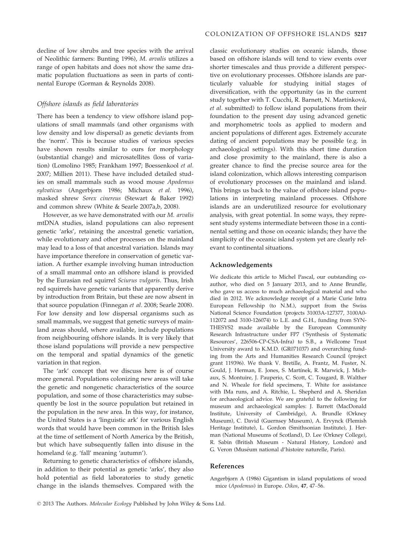decline of low shrubs and tree species with the arrival of Neolithic farmers: Bunting 1996), M. arvalis utilizes a range of open habitats and does not show the same dramatic population fluctuations as seen in parts of continental Europe (Gorman & Reynolds 2008).

# Offshore islands as field laboratories

There has been a tendency to view offshore island populations of small mammals (and other organisms with low density and low dispersal) as genetic deviants from the 'norm'. This is because studies of various species have shown results similar to ours for morphology (substantial change) and microsatellites (loss of variation) (Lomolino 1985; Frankham 1997; Boessenkool et al. 2007; Millien 2011). These have included detailed studies on small mammals such as wood mouse Apodemus sylvaticus (Angerbjorn 1986; Michaux et al. 1996), masked shrew Sorex cinereus (Stewart & Baker 1992) and common shrew (White & Searle 2007a,b, 2008).

However, as we have demonstrated with our M. arvalis mtDNA studies, island populations can also represent genetic 'arks', retaining the ancestral genetic variation, while evolutionary and other processes on the mainland may lead to a loss of that ancestral variation. Islands may have importance therefore in conservation of genetic variation. A further example involving human introduction of a small mammal onto an offshore island is provided by the Eurasian red squirrel Sciurus vulgaris. Thus, Irish red squirrels have genetic variants that apparently derive by introduction from Britain, but these are now absent in that source population (Finnegan et al. 2008; Searle 2008). For low density and low dispersal organisms such as small mammals, we suggest that genetic surveys of mainland areas should, where available, include populations from neighbouring offshore islands. It is very likely that those island populations will provide a new perspective on the temporal and spatial dynamics of the genetic variation in that region.

The 'ark' concept that we discuss here is of course more general. Populations colonizing new areas will take the genetic and nongenetic characteristics of the source population, and some of those characteristics may subsequently be lost in the source population but retained in the population in the new area. In this way, for instance, the United States is a 'linguistic ark' for various English words that would have been common in the British Isles at the time of settlement of North America by the British, but which have subsequently fallen into disuse in the homeland (e.g. 'fall' meaning 'autumn').

Returning to genetic characteristics of offshore islands, in addition to their potential as genetic 'arks', they also hold potential as field laboratories to study genetic change in the islands themselves. Compared with the classic evolutionary studies on oceanic islands, those based on offshore islands will tend to view events over shorter timescales and thus provide a different perspective on evolutionary processes. Offshore islands are particularly valuable for studying initial stages of diversification, with the opportunity (as in the current study together with T. Cucchi, R. Barnett, N. Martínková, et al. submitted) to follow island populations from their foundation to the present day using advanced genetic and morphometric tools as applied to modern and ancient populations of different ages. Extremely accurate dating of ancient populations may be possible (e.g. in archaeological settings). With this short time duration and close proximity to the mainland, there is also a greater chance to find the precise source area for the island colonization, which allows interesting comparison of evolutionary processes on the mainland and island. This brings us back to the value of offshore island populations in interpreting mainland processes. Offshore islands are an underutilized resource for evolutionary analysis, with great potential. In some ways, they represent study systems intermediate between those in a continental setting and those on oceanic islands; they have the simplicity of the oceanic island system yet are clearly relevant to continental situations.

## Acknowledgements

We dedicate this article to Michel Pascal, our outstanding coauthor, who died on 5 January 2013, and to Anne Brundle, who gave us access to much archaeological material and who died in 2012. We acknowledge receipt of a Marie Curie Intra European Fellowship (to N.M.), support from the Swiss National Science Foundation (projects 31003A-127377, 3100A0- 112072 and 3100-126074) to L.E. and G.H., funding from SYN-THESYS2 made available by the European Community Research Infrastructure under FP7 ('Synthesis of Systematic Resources', 226506-CP-CSA-Infra) to S.B., a Wellcome Trust University award to K.M.D. (GR071037) and overarching funding from the Arts and Humanities Research Council (project grant 119396). We thank V. Bretille, A. Frantz, M. Fuster, N. Gould, J. Herman, E. Jones, S. Martínek, R. Marwick, J. Michaux, S. Montuire, J. Pauperio, C. Scott, C. Tougard, B. Walther and N. Wheale for field specimens, T. White for assistance with IMa runs, and A. Ritchie, L. Shepherd and A. Sheridan for archaeological advice. We are grateful to the following for museum and archaeological samples: J. Barrett (MacDonald Institute, University of Cambridge), A. Brundle (Orkney Museum), C. David (Guernsey Museum), A. Ervynck (Flemish Heritage Institute), L. Gordon (Smithsonian Institute), J. Herman (National Museums of Scotland), D. Lee (Orkney College), R. Sabin (British Museum - Natural History, London) and G. Veron (Muséum national d'histoire naturelle, Paris).

## References

Angerbjorn A (1986) Gigantism in island populations of wood mice (Apodemus) in Europe. Oikos, 47, 47–56.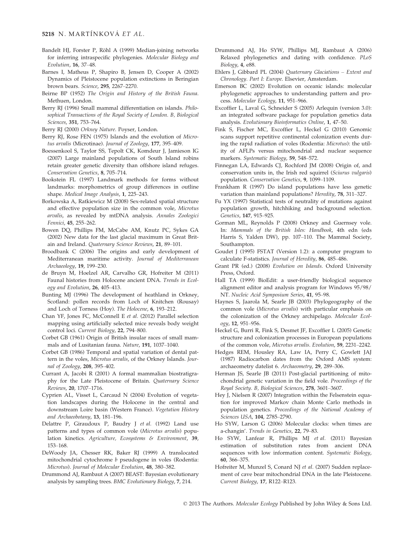- Bandelt HJ, Forster P, Röhl A (1999) Median-joining networks for inferring intraspecific phylogenies. Molecular Biology and Evolution, 16, 37–48.
- Barnes I, Matheus P, Shapiro B, Jensen D, Cooper A (2002) Dynamics of Pleistocene population extinctions in Beringian brown bears. Science, 295, 2267–2270.
- Beirne BP (1952) The Origin and History of the British Fauna. Methuen, London.
- Berry RJ (1996) Small mammal differentiation on islands. Philosophical Transactions of the Royal Society of London. B, Biological Sciences, 351, 753–764.
- Berry RJ (2000) Orkney Nature. Poyser, London.
- Berry RJ, Rose FEN (1975) Islands and the evolution of Microtus arvalis (Microtinae). Journal of Zoology, 177, 395–409.
- Boessenkool S, Taylor SS, Tepolt CK, Komdeur J, Jamieson IG (2007) Large mainland populations of South Island robins retain greater genetic diversity than offshore island refuges. Conservation Genetics, 8, 705–714.
- Bookstein FL (1997) Landmark methods for forms without landmarks: morphometrics of group differences in outline shape. Medical Image Analysis, 1, 225–243.
- Borkowska A, Ratkiewicz M (2008) Sex-related spatial structure and effective population size in the common vole, Microtus arvalis, as revealed by mtDNA analysis. Annales Zoologici Fennici, 45, 255–262.
- Bowen DQ, Phillips FM, McCabe AM, Knutz PC, Sykes GA (2002) New data for the last glacial maximum in Great Britain and Ireland. Quaternary Science Reviews, 21, 89–101.
- Broodbank C (2006) The origins and early development of Mediterranean maritime activity. Journal of Mediterranean Archaeology, 19, 199–230.
- de Bruyn M, Hoelzel AR, Carvalho GR, Hofreiter M (2011) Faunal histories from Holocene ancient DNA. Trends in Ecology and Evolution, 26, 405–413.
- Bunting MJ (1996) The development of heathland in Orkney, Scotland: pollen records from Loch of Knitchen (Rousay) and Loch of Torness (Hoy). The Holocene, 6, 193–212.
- Chan YF, Jones FC, McConnell E et al. (2012) Parallel selection mapping using artificially selected mice reveals body weight control loci. Current Biology, 22, 794–800.
- Corbet GB (1961) Origin of British insular races of small mammals and of Lusitanian fauna. Nature, 191, 1037–1040.
- Corbet GB (1986) Temporal and spatial variation of dental pattern in the voles, Microtus arvalis, of the Orkney Islands. Journal of Zoology, 208, 395–402.
- Currant A, Jacobi R (2001) A formal mammalian biostratigraphy for the Late Pleistocene of Britain. Quaternary Science Reviews, 20, 1707–1716.
- Cyprien AL, Visset L, Carcaud N (2004) Evolution of vegetation landscapes during the Holocene in the central and downstream Loire basin (Western France). Vegetation History and Archaeobotany, 13, 181–196.
- Delattre P, Giraudoux P, Baudry J et al. (1992) Land use patterns and types of common vole (Microtus arvalis) population kinetics. Agriculture, Ecosystems & Environment, 39, 153–168.
- DeWoody JA, Chesser RK, Baker RJ (1999) A translocated mitochondrial cytochrome b pseudogene in voles (Rodentia: Microtus). Journal of Molecular Evolution, 48, 380–382.
- Drummond AJ, Rambaut A (2007) BEAST: Bayesian evolutionary analysis by sampling trees. BMC Evolutionary Biology, 7, 214.
- Drummond AJ, Ho SYW, Phillips MJ, Rambaut A (2006) Relaxed phylogenetics and dating with confidence. PLoS Biology, 4, e88.
- Ehlers J, Gibbard PL (2004) Quaternary Glaciations Extent and Chronology. Part I: Europe. Elsevier, Amsterdam.
- Emerson BC (2002) Evolution on oceanic islands: molecular phylogenetic approaches to understanding pattern and process. Molecular Ecology, 11, 951–966.
- Excoffier L, Laval G, Schneider S (2005) Arlequin (version 3.0): an integrated software package for population genetics data analysis. Evolutionary Bioinformatics Online, 1, 47–50.
- Fink S, Fischer MC, Excoffier L, Heckel G (2010) Genomic scans support repetitive continental colonization events during the rapid radiation of voles (Rodentia: Microtus): the utility of AFLPs versus mitochondrial and nuclear sequence markers. Systematic Biology, 59, 548–572.
- Finnegan LA, Edwards CJ, Rochford JM (2008) Origin of, and conservation units in, the Irish red squirrel (Sciurus vulgaris) population. Conservation Genetics, 9, 1099–1109.
- Frankham R (1997) Do island populations have less genetic variation than mainland populations? Heredity, 78, 311–327.
- Fu YX (1997) Statistical tests of neutrality of mutations against population growth, hitchhiking and background selection. Genetics, 147, 915–925.
- Gorman ML, Reynolds P (2008) Orkney and Guernsey vole. In: Mammals of the British Isles: Handbook, 4th edn (eds Harris S, Yalden DW), pp. 107–110. The Mammal Society, Southampton.
- Goudet J (1995) FSTAT (Version 1.2): a computer program to calculate F-statistics. Journal of Heredity, 86, 485–486.
- Grant PR (ed.) (2008) Evolution on Islands. Oxford University Press, Oxford.
- Hall TA (1999) BioEdit: a user-friendly biological sequence alignment editor and analysis program for Windows 95/98/ NT. Nucleic Acid Symposium Series, 41, 95-98.
- Haynes S, Jaarola M, Searle JB (2003) Phylogeography of the common vole (Microtus arvalis) with particular emphasis on the colonization of the Orkney archipelago. Molecular Ecology, 12, 951–956.
- Heckel G, Burri R, Fink S, Desmet JF, Excoffier L (2005) Genetic structure and colonization processes in European populations of the common vole, Microtus arvalis. Evolution, 59, 2231–2242.
- Hedges REM, Housley RA, Law IA, Perry C, Gowlett JAJ (1987) Radiocarbon dates from the Oxford AMS system: archaeometry datelist 6. Archaeometry, 29, 289–306.
- Herman JS, Searle JB (2011) Post-glacial partitioning of mitochondrial genetic variation in the field vole. Proceedings of the Royal Society. B, Biological Sciences, 278, 3601–3607.
- Hey J, Nielsen R (2007) Integration within the Felsenstein equation for improved Markov chain Monte Carlo methods in population genetics. Proceedings of the National Academy of Sciences USA, 104, 2785–2790.
- Ho SYW, Larson G (2006) Molecular clocks: when times are a-changin'. Trends in Genetics, 22, 79–83.
- Ho SYW, Lanfear R, Phillips MJ et al. (2011) Bayesian estimation of substitution rates from ancient DNA sequences with low information content. Systematic Biology, 60, 366–375.
- Hofreiter M, Munzel S, Conard NJ et al. (2007) Sudden replacement of cave bear mitochondrial DNA in the late Pleistocene. Current Biology, 17, R122–R123.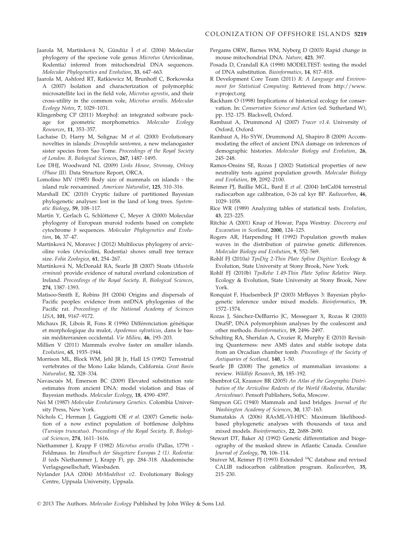- Jaarola M, Martínková N, Gündüz İ et al. (2004) Molecular phylogeny of the speciose vole genus Microtus (Arvicolinae, Rodentia) inferred from mitochondrial DNA sequences. Molecular Phylogenetics and Evolution, 33, 647–663.
- Jaarola M, Ashford RT, Ratkiewicz M, Brunhoff C, Borkowska A (2007) Isolation and characterization of polymorphic microsatellite loci in the field vole, Microtus agrestis, and their cross-utility in the common vole, Microtus arvalis. Molecular Ecology Notes, 7, 1029–1031.
- Klingenberg CP (2011) MorphoJ: an integrated software package for geometric morphometrics. Molecular Ecology Resources, 11, 353–357.
- Lachaise D, Harry M, Solignac M et al. (2000) Evolutionary novelties in islands: Drosophila santomea, a new melanogaster sister species from Sao Tome. Proceedings of the Royal Society of London. B, Biological Sciences, 267, 1487–1495.
- Lee DHJ, Woodward NL (2009) Links House, Stronsay, Orkney (Phase III). Data Structure Report, ORCA.
- Lomolino MV (1985) Body size of mammals on islands the island rule reexamined. American Naturalist, 125, 310–316.
- Marshall DC (2010) Cryptic failure of partitioned Bayesian phylogenetic analyses: lost in the land of long trees. Systematic Biology, 59, 108–117.
- Martin Y, Gerlach G, Schlötterer C, Meyer A (2000) Molecular phylogeny of European muroid rodents based on complete cytochrome b sequences. Molecular Phylogenetics and Evolution, 16, 37–47.
- Martínková N, Moravec J (2012) Multilocus phylogeny of arvicoline voles (Arvicolini, Rodentia) shows small tree terrace size. Folia Zoologica, 61, 254-267.
- Martínková N, McDonald RA, Searle JB (2007) Stoats (Mustela erminea) provide evidence of natural overland colonization of Ireland. Proceedings of the Royal Society. B, Biological Sciences, 274, 1387–1393.
- Matisoo-Smith E, Robins JH (2004) Origins and dispersals of Pacific peoples: evidence from mtDNA phylogenies of the Pacific rat. Proceedings of the National Academy of Sciences USA, 101, 9167–9172.
- Michaux JR, Libois R, Fons R (1996) Différenciation génétique et morphologique du mulot, Apodemus sylvaticus, dans le bassin méditerranéen occidental. Vie Milieu, 46, 193-203.
- Millien V (2011) Mammals evolve faster on smaller islands. Evolution, 65, 1935–1944.
- Morrison ML, Block WM, Jehl JR Jr, Hall LS (1992) Terrestrial vertebrates of the Mono Lake Islands, California. Great Basin Naturalist, 52, 328–334.
- Navascués M, Emerson BC (2009) Elevated substitution rate estimates from ancient DNA: model violation and bias of Bayesian methods. Molecular Ecology, 18, 4390–4397.
- Nei M (1987) Molecular Evolutionary Genetics. Colombia University Press, New York.
- Nichols C, Herman J, Gaggiotti OE et al. (2007) Genetic isolation of a now extinct population of bottlenose dolphins (Tursiops truncatus). Proceedings of the Royal Society. B, Biological Sciences, 274, 1611–1616.
- Niethammer J, Krapp F (1982) Microtus arvalis (Pallas, 1779) Feldmaus. In: Handbuch der Säugetiere Europas 2 (1). Rodentia: II (eds Niethammer J, Krapp F), pp. 284–318. Akademische Verlagsgesellschaft, Wiesbaden.
- Nylander JAA (2004) MrModeltest v2. Evolutionary Biology Centre, Uppsala University, Uppsala.
- Pergams ORW, Barnes WM, Nyberg D (2003) Rapid change in mouse mitochondrial DNA. Nature, 423, 397.
- Posada D, Crandall KA (1998) MODELTEST: testing the model of DNA substitution. Bioinformatics, 14, 817–818.
- R Development Core Team (2011) R: A Language and Environment for Statistical Computing. Retrieved from http://www. r-project.org
- Rackham O (1998) Implications of historical ecology for conservation. In: Conservation Science and Action (ed. Sutherland W), pp. 152–175. Blackwell, Oxford.
- Rambaut A, Drummond AJ (2007) Tracer v1.4. University of Oxford, Oxford.
- Rambaut A, Ho SYW, Drummond AJ, Shapiro B (2009) Accommodating the effect of ancient DNA damage on inferences of demographic histories. Molecular Biology and Evolution, 26, 245–248.
- Ramos-Onsins SE, Rozas J (2002) Statistical properties of new neutrality tests against population growth. Molecular Biology and Evolution, 19, 2092–2100.
- Reimer PJ, Baillie MGL, Bard E et al. (2004) IntCal04 terrestrial radiocarbon age calibration, 0-26 cal kyr BP. Radiocarbon, 46, 1029–1058.
- Rice WR (1989) Analyzing tables of statistical tests. Evolution, 43, 223–225.
- Ritchie A (2001) Knap of Howar, Papa Westray. Discovery and Excavation in Scotland, 2000, 124–125.
- Rogers AR, Harpending H (1992) Population growth makes waves in the distribution of pairwise genetic differences. Molecular Biology and Evolution, 9, 552–569.
- Rohlf FJ (2010a) TpsDig 2-Thin Plate Spline Digitizer. Ecology & Evolution, State University at Stony Brook, New York.
- Rohlf FJ (2010b) TpsRelw 1.49-Thin Plate Spline Relative Warp. Ecology & Evolution, State University at Stony Brook, New York.
- Ronquist F, Huelsenbeck JP (2003) MrBayes 3: Bayesian phylogenetic inference under mixed models. Bioinformatics, 19, 1572–1574.
- Rozas J, Sanchez-DelBarrio JC, Messeguer X, Rozas R (2003) DnaSP, DNA polymorphism analyses by the coalescent and other methods. Bioinformatics, 19, 2496–2497.
- Schulting RA, Sheridan A, Crozier R, Murphy E (2010) Revisiting Quanterness: new AMS dates and stable isotope data from an Orcadian chamber tomb. Proceedings of the Society of Antiquaries of Scotland, 140, 1–50.
- Searle JB (2008) The genetics of mammalian invasions: a review. Wildlife Research, 35, 185–192.
- Shenbrot GI, Krasnov BR (2005) An Atlas of the Geographic Distribution of the Arvicoline Rodents of the World (Rodentia, Muridae: Arvicolinae). Pensoft Publishers, Sofia, Moscow.
- Simpson GG (1940) Mammals and land bridges. Journal of the Washington Academy of Sciences, 30, 137–163.
- Stamatakis A (2006) RAxML-VI-HPC: Maximum likelihoodbased phylogenetic analyses with thousands of taxa and mixed models. Bioinformatics, 22, 2688–2690.
- Stewart DT, Baker AJ (1992) Genetic differentiation and biogeography of the masked shrew in Atlantic Canada. Canadian Journal of Zoology, 70, 106–114.
- Stuiver M, Reimer PJ (1993) Extended 14C database and revised CALIB radiocarbon calibration program. Radiocarbon, 35, 215–230.

© 2013 The Authors. Molecular Ecology Published by John Wiley & Sons Ltd.